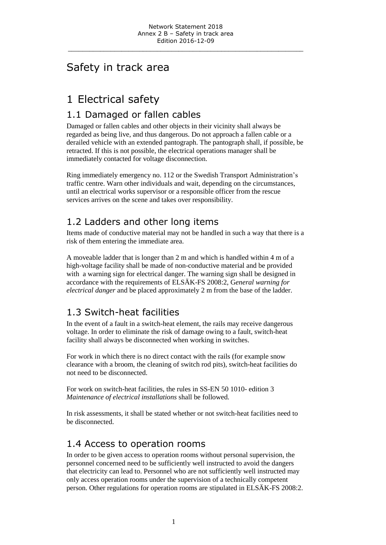\_\_\_\_\_\_\_\_\_\_\_\_\_\_\_\_\_\_\_\_\_\_\_\_\_\_\_\_\_\_\_\_\_\_\_\_\_\_\_\_\_\_\_\_\_\_\_\_\_\_\_\_\_\_\_\_\_\_\_\_\_\_\_\_\_\_

### Safety in track area

# 1 Electrical safety

#### 1.1 Damaged or fallen cables

Damaged or fallen cables and other objects in their vicinity shall always be regarded as being live, and thus dangerous. Do not approach a fallen cable or a derailed vehicle with an extended pantograph. The pantograph shall, if possible, be retracted. If this is not possible, the electrical operations manager shall be immediately contacted for voltage disconnection.

Ring immediately emergency no. 112 or the Swedish Transport Administration's traffic centre. Warn other individuals and wait, depending on the circumstances, until an electrical works supervisor or a responsible officer from the rescue services arrives on the scene and takes over responsibility.

### 1.2 Ladders and other long items

Items made of conductive material may not be handled in such a way that there is a risk of them entering the immediate area.

A moveable ladder that is longer than 2 m and which is handled within 4 m of a high-voltage facility shall be made of non-conductive material and be provided with a warning sign for electrical danger. The warning sign shall be designed in accordance with the requirements of ELSÄK-FS 2008:2, G*eneral warning for electrical danger* and be placed approximately 2 m from the base of the ladder.

### 1.3 Switch-heat facilities

In the event of a fault in a switch-heat element, the rails may receive dangerous voltage. In order to eliminate the risk of damage owing to a fault, switch-heat facility shall always be disconnected when working in switches.

For work in which there is no direct contact with the rails (for example snow clearance with a broom, the cleaning of switch rod pits), switch-heat facilities do not need to be disconnected.

For work on switch-heat facilities, the rules in SS-EN 50 1010- edition 3 *Maintenance of electrical installations* shall be followed*.*

In risk assessments, it shall be stated whether or not switch-heat facilities need to be disconnected.

#### 1.4 Access to operation rooms

In order to be given access to operation rooms without personal supervision, the personnel concerned need to be sufficiently well instructed to avoid the dangers that electricity can lead to. Personnel who are not sufficiently well instructed may only access operation rooms under the supervision of a technically competent person. Other regulations for operation rooms are stipulated in ELSÄK-FS 2008:2.